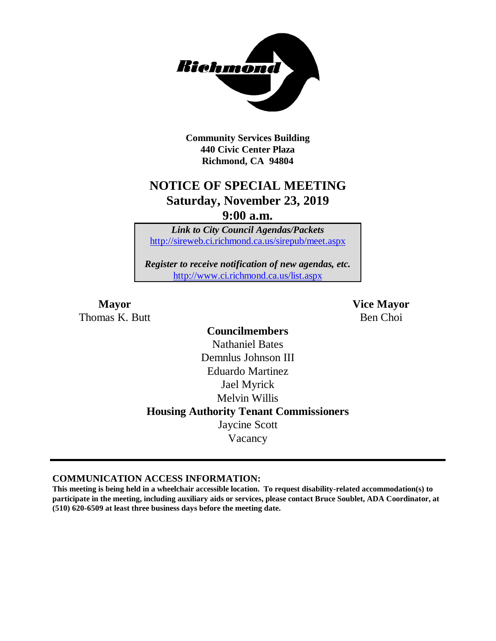

**Community Services Building 440 Civic Center Plaza Richmond, CA 94804**

## **NOTICE OF SPECIAL MEETING Saturday, November 23, 2019 9:00 a.m.**

*Link to City Council Agendas/Packets* <http://sireweb.ci.richmond.ca.us/sirepub/meet.aspx>

*Register to receive notification of new agendas, etc.* <http://www.ci.richmond.ca.us/list.aspx>

Thomas K. Butt Ben Choi

**Mayor Vice Mayor**

**Councilmembers** Nathaniel Bates Demnlus Johnson III Eduardo Martinez Jael Myrick Melvin Willis **Housing Authority Tenant Commissioners** Jaycine Scott Vacancy

**COMMUNICATION ACCESS INFORMATION:**

**This meeting is being held in a wheelchair accessible location. To request disability-related accommodation(s) to participate in the meeting, including auxiliary aids or services, please contact Bruce Soublet, ADA Coordinator, at (510) 620-6509 at least three business days before the meeting date.**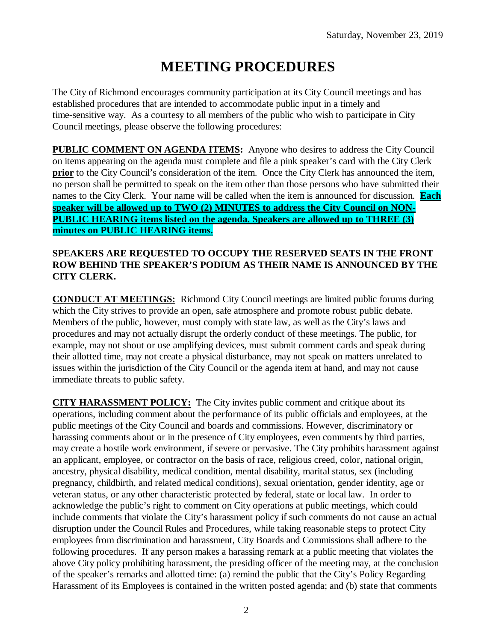# **MEETING PROCEDURES**

The City of Richmond encourages community participation at its City Council meetings and has established procedures that are intended to accommodate public input in a timely and time-sensitive way. As a courtesy to all members of the public who wish to participate in City Council meetings, please observe the following procedures:

**PUBLIC COMMENT ON AGENDA ITEMS:** Anyone who desires to address the City Council on items appearing on the agenda must complete and file a pink speaker's card with the City Clerk **prior** to the City Council's consideration of the item. Once the City Clerk has announced the item, no person shall be permitted to speak on the item other than those persons who have submitted their names to the City Clerk. Your name will be called when the item is announced for discussion. **Each speaker will be allowed up to TWO (2) MINUTES to address the City Council on NON-PUBLIC HEARING items listed on the agenda. Speakers are allowed up to THREE (3) minutes on PUBLIC HEARING items.**

#### **SPEAKERS ARE REQUESTED TO OCCUPY THE RESERVED SEATS IN THE FRONT ROW BEHIND THE SPEAKER'S PODIUM AS THEIR NAME IS ANNOUNCED BY THE CITY CLERK.**

**CONDUCT AT MEETINGS:** Richmond City Council meetings are limited public forums during which the City strives to provide an open, safe atmosphere and promote robust public debate. Members of the public, however, must comply with state law, as well as the City's laws and procedures and may not actually disrupt the orderly conduct of these meetings. The public, for example, may not shout or use amplifying devices, must submit comment cards and speak during their allotted time, may not create a physical disturbance, may not speak on matters unrelated to issues within the jurisdiction of the City Council or the agenda item at hand, and may not cause immediate threats to public safety.

**CITY HARASSMENT POLICY:** The City invites public comment and critique about its operations, including comment about the performance of its public officials and employees, at the public meetings of the City Council and boards and commissions. However, discriminatory or harassing comments about or in the presence of City employees, even comments by third parties, may create a hostile work environment, if severe or pervasive. The City prohibits harassment against an applicant, employee, or contractor on the basis of race, religious creed, color, national origin, ancestry, physical disability, medical condition, mental disability, marital status, sex (including pregnancy, childbirth, and related medical conditions), sexual orientation, gender identity, age or veteran status, or any other characteristic protected by federal, state or local law. In order to acknowledge the public's right to comment on City operations at public meetings, which could include comments that violate the City's harassment policy if such comments do not cause an actual disruption under the Council Rules and Procedures, while taking reasonable steps to protect City employees from discrimination and harassment, City Boards and Commissions shall adhere to the following procedures. If any person makes a harassing remark at a public meeting that violates the above City policy prohibiting harassment, the presiding officer of the meeting may, at the conclusion of the speaker's remarks and allotted time: (a) remind the public that the City's Policy Regarding Harassment of its Employees is contained in the written posted agenda; and (b) state that comments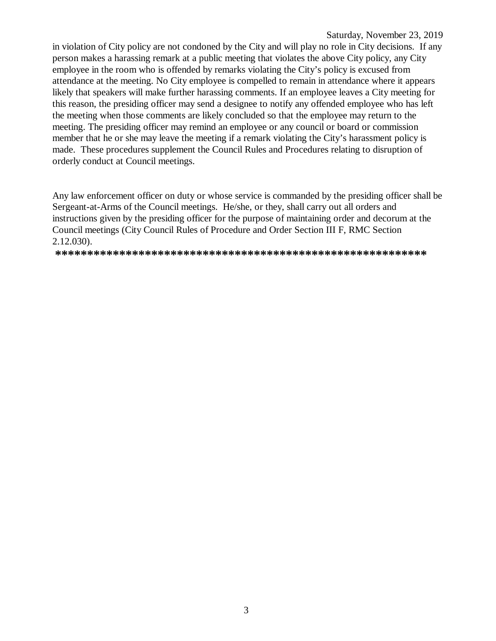#### Saturday, November 23, 2019

in violation of City policy are not condoned by the City and will play no role in City decisions. If any person makes a harassing remark at a public meeting that violates the above City policy, any City employee in the room who is offended by remarks violating the City's policy is excused from attendance at the meeting. No City employee is compelled to remain in attendance where it appears likely that speakers will make further harassing comments. If an employee leaves a City meeting for this reason, the presiding officer may send a designee to notify any offended employee who has left the meeting when those comments are likely concluded so that the employee may return to the meeting. The presiding officer may remind an employee or any council or board or commission member that he or she may leave the meeting if a remark violating the City's harassment policy is made. These procedures supplement the Council Rules and Procedures relating to disruption of orderly conduct at Council meetings.

Any law enforcement officer on duty or whose service is commanded by the presiding officer shall be Sergeant-at-Arms of the Council meetings. He/she, or they, shall carry out all orders and instructions given by the presiding officer for the purpose of maintaining order and decorum at the Council meetings (City Council Rules of Procedure and Order Section III F, RMC Section  $2.12.030$ ).